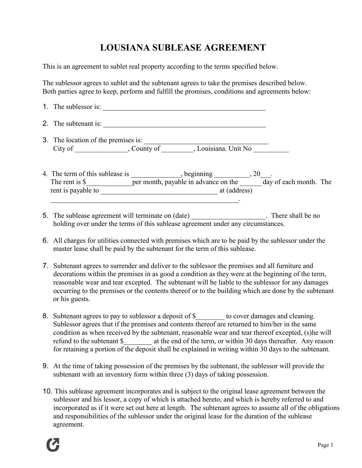## **LOUSIANA SUBLEASE AGREEMENT**

This is an agreement to sublet real property according to the terms specified below.

The sublessor agrees to sublet and the subtenant agrees to take the premises described below. Both parties agree to keep, perform and fulfill the promises, conditions and agreements below:

| 1. The sublessor is:                                                                                                                                                                          |  |
|-----------------------------------------------------------------------------------------------------------------------------------------------------------------------------------------------|--|
| 2. The subtenant is:<br><u> 1980 - Jan Sterling Sterling (d. 1980)</u>                                                                                                                        |  |
| 3. The location of the premises is:                                                                                                                                                           |  |
| 4. The term of this sublease is _____________, beginning _________, $20$ __.<br>The rent is \$ per month, payable in advance on the day of each month. The<br>rent is payable to at (address) |  |

- 5. The sublease agreement will terminate on (date) There shall be no holding over under the terms of this sublease agreement under any circumstances.
- 6. All charges for utilities connected with premises which are to be paid by the sublessor under the master lease shall be paid by the subtenant for the term of this sublease.
- 7. Subtenant agrees to surrender and deliver to the sublessor the premises and all furniture and decorations within the premises in as good a condition as they were at the beginning of the term, reasonable wear and tear excepted. The subtenant will be liable to the sublessor for any damages occurring to the premises or the contents thereof or to the building which are done by the subtenant or his guests.
- 8. Subtenant agrees to pay to sublessor a deposit of \$ to cover damages and cleaning. Sublessor agrees that if the premises and contents thereof are returned to him/her in the same condition as when received by the subtenant, reasonable wear and tear thereof excepted, (s)he will refund to the subtenant \$ at the end of the term, or within 30 days thereafter. Any reason for retaining a portion of the deposit shall be explained in writing within 30 days to the subtenant.
- 9. At the time of taking possession of the premises by the subtenant, the sublessor will provide the subtenant with an inventory form within three (3) days of taking possession.
- 10. This sublease agreement incorporates and is subject to the original lease agreement between the sublessor and his lessor, a copy of which is attached hereto, and which is hereby referred to and incorporated as if it were set out here at length. The subtenant agrees to assume all of the obligations and responsibilities of the sublessor under the original lease for the duration of the sublease agreement.